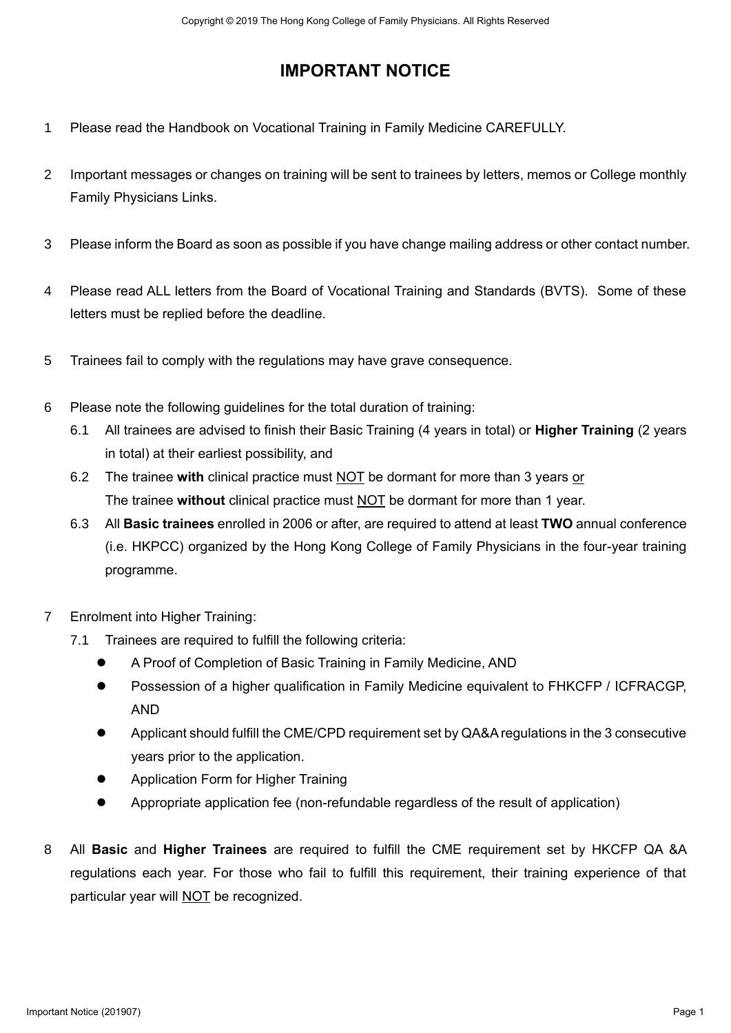## **IMPORTANT NOTICE**

- 1 Please read the Handbook on Vocational Training in Family Medicine CAREFULLY.
- 2 Important messages or changes on training will be sent to trainees by letters, memos or College monthly Family Physicians Links.
- 3 Please inform the Board as soon as possible if you have change mailing address or other contact number.
- 4 Please read ALL letters from the Board of Vocational Training and Standards (BVTS). Some of these letters must be replied before the deadline.
- 5 Trainees fail to comply with the regulations may have grave consequence.
- 6 Please note the following guidelines for the total duration of training:
	- 6.1 All trainees are advised to finish their Basic Training (4 years in total) or **Higher Training** (2 years in total) at their earliest possibility, and
	- 6.2 The trainee **with** clinical practice must NOT be dormant for more than 3 years or The trainee **without** clinical practice must NOT be dormant for more than 1 year.
	- 6.3 All **Basic trainees** enrolled in 2006 or after, are required to attend at least **TWO** annual conference (i.e. HKPCC) organized by the Hong Kong College of Family Physicians in the four-year training programme.
- 7 Enrolment into Higher Training:
	- 7.1 Trainees are required to fulfill the following criteria:
		- A Proof of Completion of Basic Training in Family Medicine, AND
		- Possession of a higher qualification in Family Medicine equivalent to FHKCFP / ICFRACGP, AND
		- Applicant should fulfill the CME/CPD requirement set by QA&A regulations in the 3 consecutive years prior to the application.
		- **Application Form for Higher Training**
		- Appropriate application fee (non-refundable regardless of the result of application)
- 8 All **Basic** and **Higher Trainees** are required to fulfill the CME requirement set by HKCFP QA &A regulations each year. For those who fail to fulfill this requirement, their training experience of that particular year will NOT be recognized. Constant Of The Hondre Constant College of Family Notician All Rights Reserved<br>
IMPORTANT NOTICE<br>
IMPORTANT NOTICE<br>
IMPORTANT NOTICE<br>
IMPORTANT TROUGE<br>
IMPORTANT TROUGE<br>
2 Important methods of the Hong College of Family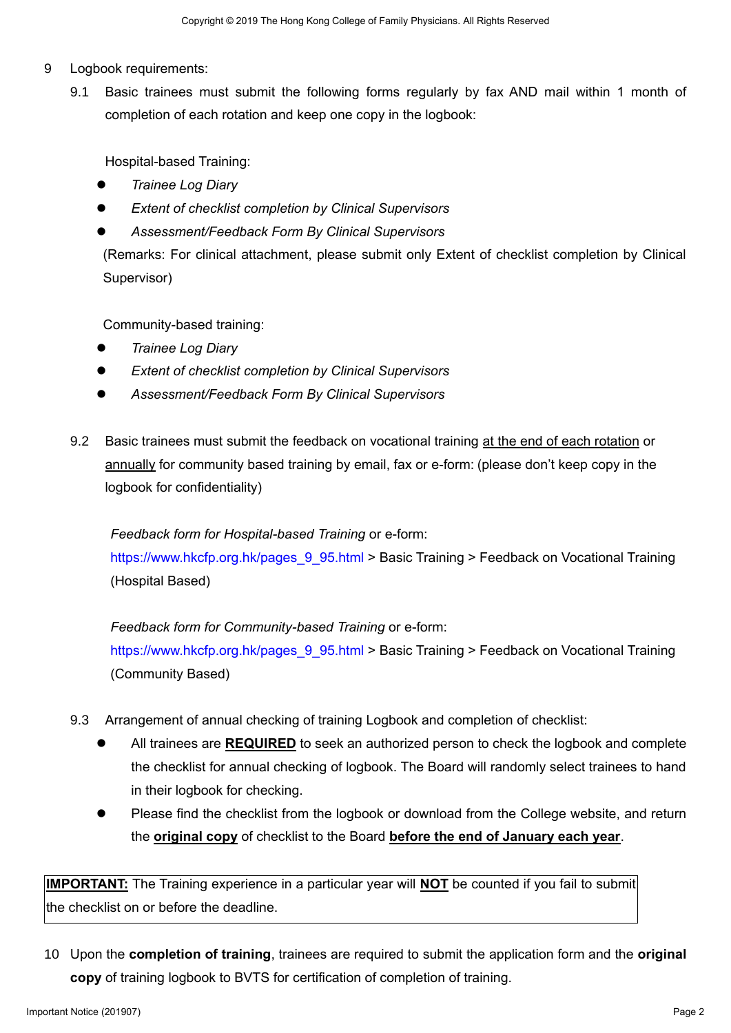- 9 Logbook requirements:
	- 9.1 Basic trainees must submit the following forms regularly by fax AND mail within 1 month of completion of each rotation and keep one copy in the logbook:

Hospital-based Training:

- *Trainee Log Diary*
- *Extent of checklist completion by Clinical Supervisors*
- *Assessment/Feedback Form By Clinical Supervisors*

(Remarks: For clinical attachment, please submit only Extent of checklist completion by Clinical Supervisor)

Community-based training:

- *Trainee Log Diary*
- *Extent of checklist completion by Clinical Supervisors*
- *Assessment/Feedback Form By Clinical Supervisors*
- 9.2 Basic trainees must submit the feedback on vocational training at the end of each rotation or annually for community based training by email, fax or e-form: (please don't keep copy in the logbook for confidentiality)

*Feedback form for Hospital-based Training* or e-form:

[https://www.hkcfp.org.hk/pages\\_9\\_95.html](https://www.hkcfp.org.hk/pages_9_95.html) > Basic Training > Feedback on Vocational Training (Hospital Based)

*Feedback form for Community-based Training* or e-form: [https://www.hkcfp.org.hk/pages\\_9\\_95.html](https://www.hkcfp.org.hk/pages_9_95.html) > Basic Training > Feedback on Vocational Training (Community Based)

- 9.3 Arrangement of annual checking of training Logbook and completion of checklist:
- All trainees are **REQUIRED** to seek an authorized person to check the logbook and complete the checklist for annual checking of logbook. The Board will randomly select trainees to hand in their logbook for checking. Soletion Starting Community based Town in the Starting for the Hong Marita The Top 1919<br>
10 Completion of each rotation and keep one copy in the logicobic<br>
Hospital Leaser Theiring.<br>
• Zomeo Logicality Completion by China
	- Please find the checklist from the logbook or download from the College website, and return the **original copy** of checklist to the Board **before the end of January each year**.

**IMPORTANT:** The Training experience in a particular year will **NOT** be counted if you fail to submit the checklist on or before the deadline.

10 Upon the **completion of training**, trainees are required to submit the application form and the **original copy** of training logbook to BVTS for certification of completion of training.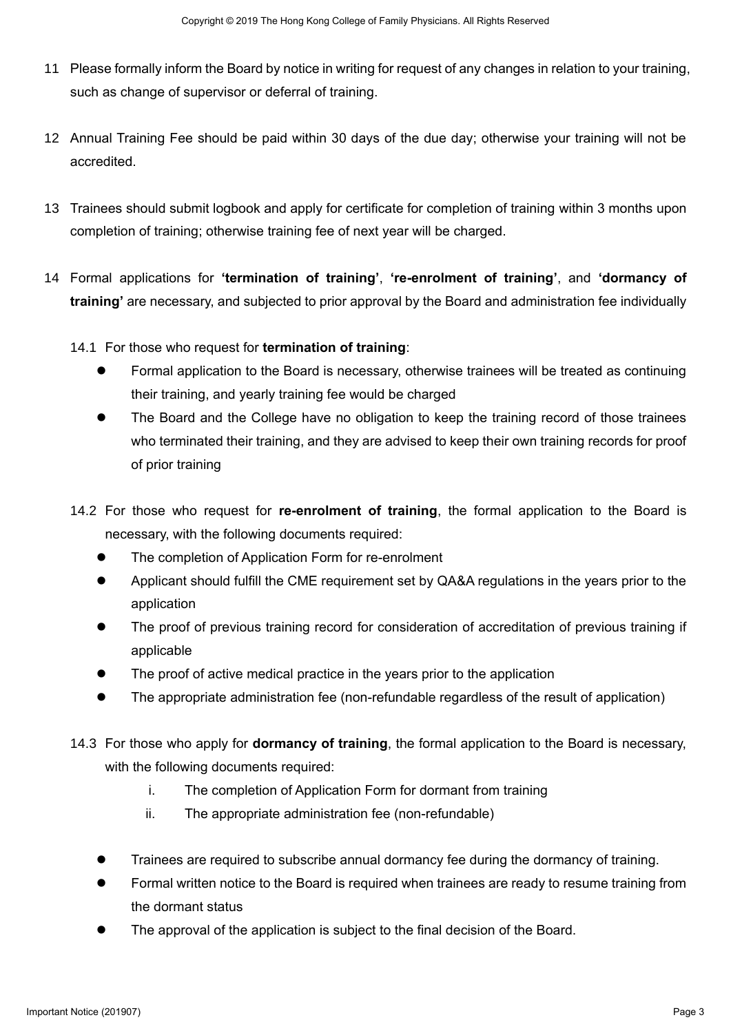- 11 Please formally inform the Board by notice in writing for request of any changes in relation to your training, such as change of supervisor or deferral of training.
- 12 Annual Training Fee should be paid within 30 days of the due day; otherwise your training will not be accredited.
- 13 Trainees should submit logbook and apply for certificate for completion of training within 3 months upon completion of training; otherwise training fee of next year will be charged.
- 14 Formal applications for **'termination of training'**, **'re-enrolment of training'**, and **'dormancy of training'** are necessary, and subjected to prior approval by the Board and administration fee individually
	- 14.1 For those who request for **termination of training**:
		- Formal application to the Board is necessary, otherwise trainees will be treated as continuing their training, and yearly training fee would be charged
- The Board and the College have no obligation to keep the training record of those trainees who terminated their training, and they are advised to keep their own training records for proof of prior training Southern Starting and States (2019) Package 3 College of Family Baracelonic Homes College of Family Homes Constraining<br>
11 Package Scheme of Eugenberrier of Family College of Family Richards Reserved Scheme in the Hong Col
	- 14.2 For those who request for **re-enrolment of training**, the formal application to the Board is necessary, with the following documents required:
		- The completion of Application Form for re-enrolment
		- Applicant should fulfill the CME requirement set by QA&A regulations in the years prior to the application
		- The proof of previous training record for consideration of accreditation of previous training if applicable
		- The proof of active medical practice in the years prior to the application
		- The appropriate administration fee (non-refundable regardless of the result of application)
	- 14.3 For those who apply for **dormancy of training**, the formal application to the Board is necessary, with the following documents required:
		- i. The completion of Application Form for dormant from training
		- ii. The appropriate administration fee (non-refundable)
		- Trainees are required to subscribe annual dormancy fee during the dormancy of training.
		- Formal written notice to the Board is required when trainees are ready to resume training from the dormant status
		- The approval of the application is subject to the final decision of the Board.